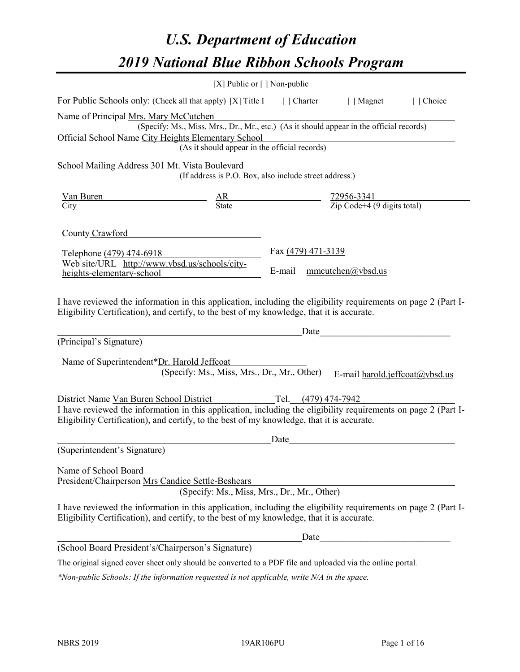# *U.S. Department of Education 2019 National Blue Ribbon Schools Program*

|                                                                                                                                                                                                              | [X] Public or [] Non-public                                                              |                    |      |                                                                                                                                                                                                                                                                 |           |
|--------------------------------------------------------------------------------------------------------------------------------------------------------------------------------------------------------------|------------------------------------------------------------------------------------------|--------------------|------|-----------------------------------------------------------------------------------------------------------------------------------------------------------------------------------------------------------------------------------------------------------------|-----------|
| For Public Schools only: (Check all that apply) [X] Title I [] Charter [] Magnet                                                                                                                             |                                                                                          |                    |      |                                                                                                                                                                                                                                                                 | [] Choice |
| Name of Principal Mrs. Mary McCutchen                                                                                                                                                                        | (Specify: Ms., Miss, Mrs., Dr., Mr., etc.) (As it should appear in the official records) |                    |      |                                                                                                                                                                                                                                                                 |           |
| Official School Name City Heights Elementary School                                                                                                                                                          |                                                                                          |                    |      |                                                                                                                                                                                                                                                                 |           |
|                                                                                                                                                                                                              | (As it should appear in the official records)                                            |                    |      |                                                                                                                                                                                                                                                                 |           |
| School Mailing Address 301 Mt. Vista Boulevard                                                                                                                                                               |                                                                                          |                    |      |                                                                                                                                                                                                                                                                 |           |
|                                                                                                                                                                                                              | (If address is P.O. Box, also include street address.)                                   |                    |      |                                                                                                                                                                                                                                                                 |           |
| Van Buren                                                                                                                                                                                                    | $\frac{AR}{State}$ $\frac{72956-3341}{Zip Code+4 (9 digits total)}$                      |                    |      |                                                                                                                                                                                                                                                                 |           |
| City                                                                                                                                                                                                         |                                                                                          |                    |      |                                                                                                                                                                                                                                                                 |           |
| County Crawford                                                                                                                                                                                              |                                                                                          |                    |      |                                                                                                                                                                                                                                                                 |           |
|                                                                                                                                                                                                              |                                                                                          | Fax (479) 471-3139 |      |                                                                                                                                                                                                                                                                 |           |
| Telephone (479) 474-6918<br>Web site/URL http://www.vbsd.us/schools/city-                                                                                                                                    |                                                                                          |                    |      |                                                                                                                                                                                                                                                                 |           |
| heights-elementary-school                                                                                                                                                                                    |                                                                                          | E-mail             |      | mmcutchen@ybsd.us                                                                                                                                                                                                                                               |           |
| (Principal's Signature)<br>Name of Superintendent*Dr. Harold Jeffcoat                                                                                                                                        | (Specify: Ms., Miss, Mrs., Dr., Mr., Other)                                              |                    |      | Date and the set of the set of the set of the set of the set of the set of the set of the set of the set of the set of the set of the set of the set of the set of the set of the set of the set of the set of the set of the<br>E-mail harold.jeffcoat@vbsd.us |           |
|                                                                                                                                                                                                              |                                                                                          |                    |      |                                                                                                                                                                                                                                                                 |           |
| District Name Van Buren School District                                                                                                                                                                      | Tel. (479) 474-7942                                                                      |                    |      |                                                                                                                                                                                                                                                                 |           |
| I have reviewed the information in this application, including the eligibility requirements on page 2 (Part I-<br>Eligibility Certification), and certify, to the best of my knowledge, that it is accurate. |                                                                                          |                    |      |                                                                                                                                                                                                                                                                 |           |
|                                                                                                                                                                                                              |                                                                                          | Date               |      |                                                                                                                                                                                                                                                                 |           |
| (Superintendent's Signature)                                                                                                                                                                                 |                                                                                          |                    |      |                                                                                                                                                                                                                                                                 |           |
| Name of School Board<br>President/Chairperson Mrs Candice Settle-Beshears                                                                                                                                    | (Specify: Ms., Miss, Mrs., Dr., Mr., Other)                                              |                    |      |                                                                                                                                                                                                                                                                 |           |
| I have reviewed the information in this application, including the eligibility requirements on page 2 (Part I-<br>Eligibility Certification), and certify, to the best of my knowledge, that it is accurate. |                                                                                          |                    |      |                                                                                                                                                                                                                                                                 |           |
|                                                                                                                                                                                                              |                                                                                          |                    | Date |                                                                                                                                                                                                                                                                 |           |
| (School Board President's/Chairperson's Signature)                                                                                                                                                           |                                                                                          |                    |      |                                                                                                                                                                                                                                                                 |           |
| The original signed cover sheet only should be converted to a PDF file and uploaded via the online portal.                                                                                                   |                                                                                          |                    |      |                                                                                                                                                                                                                                                                 |           |

*\*Non-public Schools: If the information requested is not applicable, write N/A in the space.*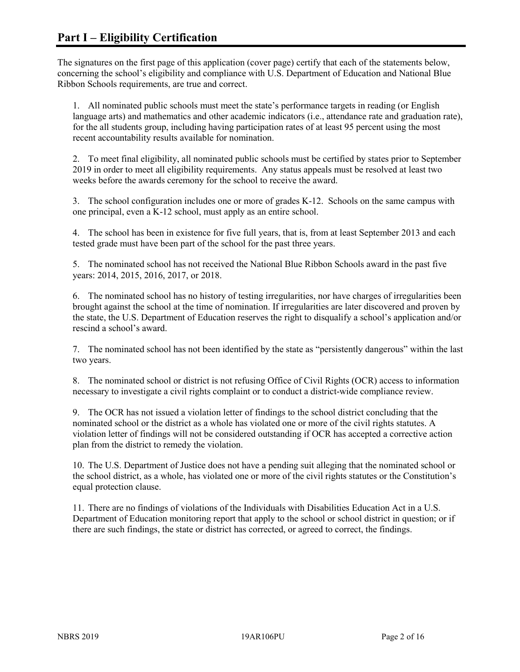The signatures on the first page of this application (cover page) certify that each of the statements below, concerning the school's eligibility and compliance with U.S. Department of Education and National Blue Ribbon Schools requirements, are true and correct.

1. All nominated public schools must meet the state's performance targets in reading (or English language arts) and mathematics and other academic indicators (i.e., attendance rate and graduation rate), for the all students group, including having participation rates of at least 95 percent using the most recent accountability results available for nomination.

2. To meet final eligibility, all nominated public schools must be certified by states prior to September 2019 in order to meet all eligibility requirements. Any status appeals must be resolved at least two weeks before the awards ceremony for the school to receive the award.

3. The school configuration includes one or more of grades K-12. Schools on the same campus with one principal, even a K-12 school, must apply as an entire school.

4. The school has been in existence for five full years, that is, from at least September 2013 and each tested grade must have been part of the school for the past three years.

5. The nominated school has not received the National Blue Ribbon Schools award in the past five years: 2014, 2015, 2016, 2017, or 2018.

6. The nominated school has no history of testing irregularities, nor have charges of irregularities been brought against the school at the time of nomination. If irregularities are later discovered and proven by the state, the U.S. Department of Education reserves the right to disqualify a school's application and/or rescind a school's award.

7. The nominated school has not been identified by the state as "persistently dangerous" within the last two years.

8. The nominated school or district is not refusing Office of Civil Rights (OCR) access to information necessary to investigate a civil rights complaint or to conduct a district-wide compliance review.

9. The OCR has not issued a violation letter of findings to the school district concluding that the nominated school or the district as a whole has violated one or more of the civil rights statutes. A violation letter of findings will not be considered outstanding if OCR has accepted a corrective action plan from the district to remedy the violation.

10. The U.S. Department of Justice does not have a pending suit alleging that the nominated school or the school district, as a whole, has violated one or more of the civil rights statutes or the Constitution's equal protection clause.

11. There are no findings of violations of the Individuals with Disabilities Education Act in a U.S. Department of Education monitoring report that apply to the school or school district in question; or if there are such findings, the state or district has corrected, or agreed to correct, the findings.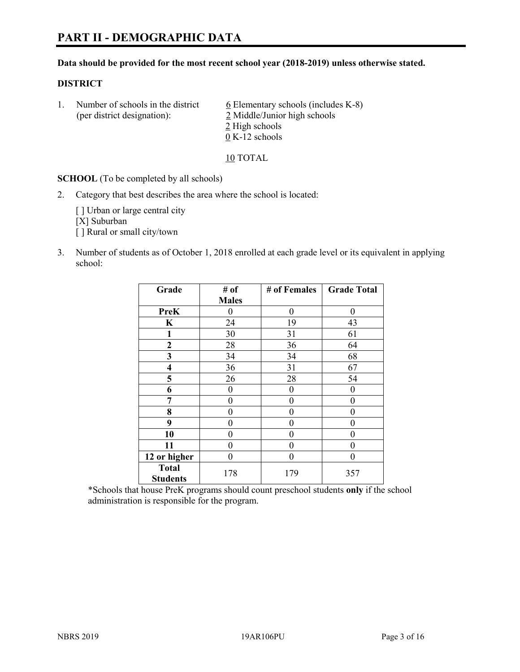### **Data should be provided for the most recent school year (2018-2019) unless otherwise stated.**

### **DISTRICT**

1. Number of schools in the district  $6$  Elementary schools (includes K-8) (per district designation): 2 Middle/Junior high schools 2 High schools 0 K-12 schools

10 TOTAL

**SCHOOL** (To be completed by all schools)

2. Category that best describes the area where the school is located:

[ ] Urban or large central city [X] Suburban [] Rural or small city/town

3. Number of students as of October 1, 2018 enrolled at each grade level or its equivalent in applying school:

| Grade                   | # of         | # of Females | <b>Grade Total</b> |
|-------------------------|--------------|--------------|--------------------|
|                         | <b>Males</b> |              |                    |
| <b>PreK</b>             | 0            | $\theta$     | 0                  |
| $\mathbf K$             | 24           | 19           | 43                 |
| 1                       | 30           | 31           | 61                 |
| 2                       | 28           | 36           | 64                 |
| 3                       | 34           | 34           | 68                 |
| $\overline{\mathbf{4}}$ | 36           | 31           | 67                 |
| 5                       | 26           | 28           | 54                 |
| 6                       | 0            | $\theta$     | 0                  |
| 7                       | 0            | $\theta$     | 0                  |
| 8                       | 0            | 0            | 0                  |
| 9                       | 0            | 0            | 0                  |
| 10                      | 0            | 0            | 0                  |
| 11                      | $\theta$     | 0            | 0                  |
| 12 or higher            | 0            | 0            | 0                  |
| <b>Total</b>            | 178          | 179          | 357                |
| <b>Students</b>         |              |              |                    |

\*Schools that house PreK programs should count preschool students **only** if the school administration is responsible for the program.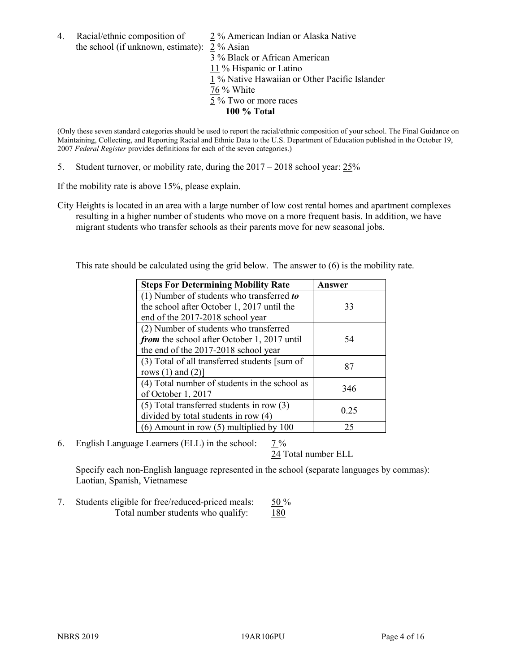4. Racial/ethnic composition of  $\frac{2}{3}$ % American Indian or Alaska Native the school (if unknown, estimate): 2 % Asian

 % Black or African American % Hispanic or Latino % Native Hawaiian or Other Pacific Islander 76 % White % Two or more races **100 % Total**

(Only these seven standard categories should be used to report the racial/ethnic composition of your school. The Final Guidance on Maintaining, Collecting, and Reporting Racial and Ethnic Data to the U.S. Department of Education published in the October 19, 2007 *Federal Register* provides definitions for each of the seven categories.)

5. Student turnover, or mobility rate, during the 2017 – 2018 school year: 25%

If the mobility rate is above 15%, please explain.

City Heights is located in an area with a large number of low cost rental homes and apartment complexes resulting in a higher number of students who move on a more frequent basis. In addition, we have migrant students who transfer schools as their parents move for new seasonal jobs.

This rate should be calculated using the grid below. The answer to (6) is the mobility rate.

| <b>Steps For Determining Mobility Rate</b>    | Answer |
|-----------------------------------------------|--------|
| (1) Number of students who transferred to     |        |
| the school after October 1, 2017 until the    | 33     |
| end of the 2017-2018 school year              |        |
| (2) Number of students who transferred        |        |
| from the school after October 1, 2017 until   | 54     |
| the end of the 2017-2018 school year          |        |
| (3) Total of all transferred students [sum of | 87     |
| rows $(1)$ and $(2)$ ]                        |        |
| (4) Total number of students in the school as | 346    |
| of October 1, 2017                            |        |
| $(5)$ Total transferred students in row $(3)$ |        |
| divided by total students in row (4)          | 0.25   |
| (6) Amount in row (5) multiplied by 100       | 25     |

6. English Language Learners (ELL) in the school: 7 %

24 Total number ELL

Specify each non-English language represented in the school (separate languages by commas): Laotian, Spanish, Vietnamese

7. Students eligible for free/reduced-priced meals:  $50\%$ Total number students who qualify: 180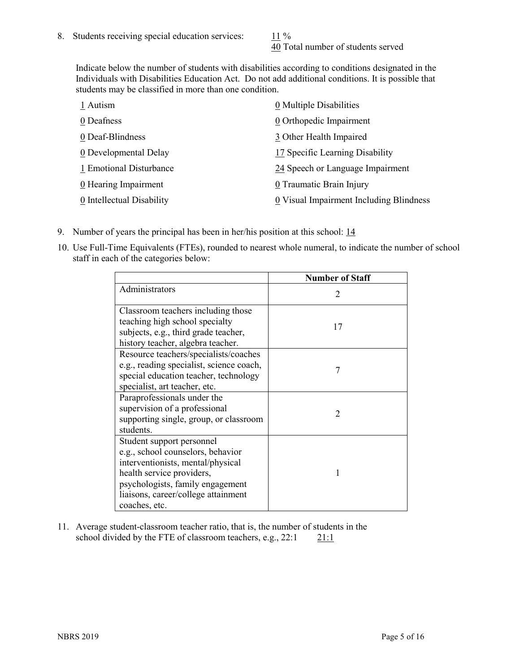40 Total number of students served

Indicate below the number of students with disabilities according to conditions designated in the Individuals with Disabilities Education Act. Do not add additional conditions. It is possible that students may be classified in more than one condition.

| 1 Autism                  | 0 Multiple Disabilities                 |
|---------------------------|-----------------------------------------|
| 0 Deafness                | 0 Orthopedic Impairment                 |
| 0 Deaf-Blindness          | 3 Other Health Impaired                 |
| 0 Developmental Delay     | 17 Specific Learning Disability         |
| 1 Emotional Disturbance   | 24 Speech or Language Impairment        |
| 0 Hearing Impairment      | 0 Traumatic Brain Injury                |
| 0 Intellectual Disability | 0 Visual Impairment Including Blindness |

- 9. Number of years the principal has been in her/his position at this school: 14
- 10. Use Full-Time Equivalents (FTEs), rounded to nearest whole numeral, to indicate the number of school staff in each of the categories below:

|                                                                                                                                                                                                                              | <b>Number of Staff</b>      |
|------------------------------------------------------------------------------------------------------------------------------------------------------------------------------------------------------------------------------|-----------------------------|
| Administrators                                                                                                                                                                                                               | $\mathcal{D}_{\mathcal{A}}$ |
| Classroom teachers including those<br>teaching high school specialty<br>subjects, e.g., third grade teacher,<br>history teacher, algebra teacher.                                                                            | 17                          |
| Resource teachers/specialists/coaches<br>e.g., reading specialist, science coach,<br>special education teacher, technology<br>specialist, art teacher, etc.                                                                  | 7                           |
| Paraprofessionals under the<br>supervision of a professional<br>supporting single, group, or classroom<br>students.                                                                                                          | $\mathcal{D}$               |
| Student support personnel<br>e.g., school counselors, behavior<br>interventionists, mental/physical<br>health service providers,<br>psychologists, family engagement<br>liaisons, career/college attainment<br>coaches, etc. |                             |

11. Average student-classroom teacher ratio, that is, the number of students in the school divided by the FTE of classroom teachers, e.g.,  $22:1$  21:1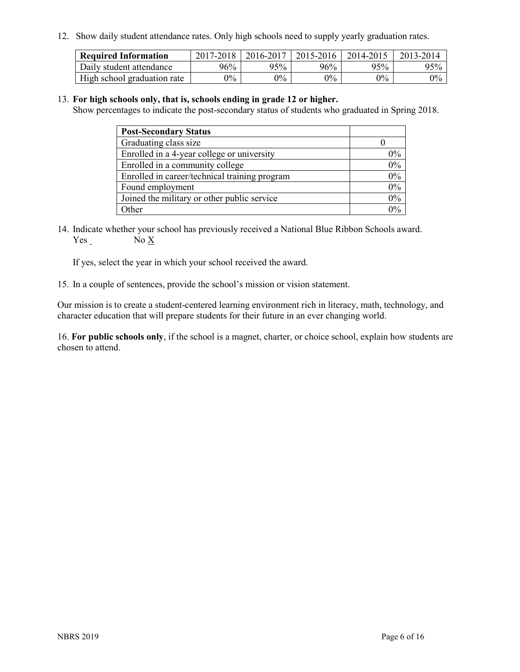12. Show daily student attendance rates. Only high schools need to supply yearly graduation rates.

| <b>Required Information</b> | 2017-2018 | 2016-2017 | 2015-2016 | 2014-2015 | 2013-2014 |
|-----------------------------|-----------|-----------|-----------|-----------|-----------|
| Daily student attendance    | 96%       | 95%       | 96%       | 95%       | 95%       |
| High school graduation rate | $0\%$     | $0\%$     | $0\%$     | $9\%$     | $0\%$     |

#### 13. **For high schools only, that is, schools ending in grade 12 or higher.**

Show percentages to indicate the post-secondary status of students who graduated in Spring 2018.

| <b>Post-Secondary Status</b>                  |       |
|-----------------------------------------------|-------|
| Graduating class size                         |       |
| Enrolled in a 4-year college or university    | $0\%$ |
| Enrolled in a community college               | 0%    |
| Enrolled in career/technical training program | 0%    |
| Found employment                              | 0%    |
| Joined the military or other public service   | 0%    |
| Other                                         | በ‰    |

14. Indicate whether your school has previously received a National Blue Ribbon Schools award. Yes No X

If yes, select the year in which your school received the award.

15. In a couple of sentences, provide the school's mission or vision statement.

Our mission is to create a student-centered learning environment rich in literacy, math, technology, and character education that will prepare students for their future in an ever changing world.

16. **For public schools only**, if the school is a magnet, charter, or choice school, explain how students are chosen to attend.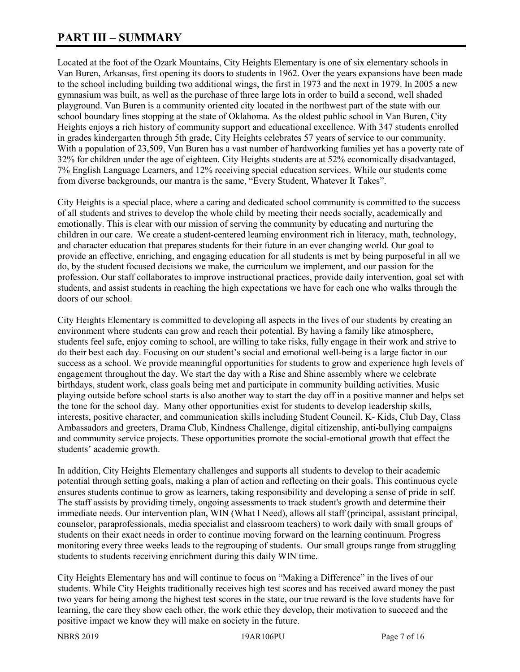# **PART III – SUMMARY**

Located at the foot of the Ozark Mountains, City Heights Elementary is one of six elementary schools in Van Buren, Arkansas, first opening its doors to students in 1962. Over the years expansions have been made to the school including building two additional wings, the first in 1973 and the next in 1979. In 2005 a new gymnasium was built, as well as the purchase of three large lots in order to build a second, well shaded playground. Van Buren is a community oriented city located in the northwest part of the state with our school boundary lines stopping at the state of Oklahoma. As the oldest public school in Van Buren, City Heights enjoys a rich history of community support and educational excellence. With 347 students enrolled in grades kindergarten through 5th grade, City Heights celebrates 57 years of service to our community. With a population of 23,509, Van Buren has a vast number of hardworking families yet has a poverty rate of 32% for children under the age of eighteen. City Heights students are at 52% economically disadvantaged, 7% English Language Learners, and 12% receiving special education services. While our students come from diverse backgrounds, our mantra is the same, "Every Student, Whatever It Takes".

City Heights is a special place, where a caring and dedicated school community is committed to the success of all students and strives to develop the whole child by meeting their needs socially, academically and emotionally. This is clear with our mission of serving the community by educating and nurturing the children in our care. We create a student-centered learning environment rich in literacy, math, technology, and character education that prepares students for their future in an ever changing world. Our goal to provide an effective, enriching, and engaging education for all students is met by being purposeful in all we do, by the student focused decisions we make, the curriculum we implement, and our passion for the profession. Our staff collaborates to improve instructional practices, provide daily intervention, goal set with students, and assist students in reaching the high expectations we have for each one who walks through the doors of our school.

City Heights Elementary is committed to developing all aspects in the lives of our students by creating an environment where students can grow and reach their potential. By having a family like atmosphere, students feel safe, enjoy coming to school, are willing to take risks, fully engage in their work and strive to do their best each day. Focusing on our student's social and emotional well-being is a large factor in our success as a school. We provide meaningful opportunities for students to grow and experience high levels of engagement throughout the day. We start the day with a Rise and Shine assembly where we celebrate birthdays, student work, class goals being met and participate in community building activities. Music playing outside before school starts is also another way to start the day off in a positive manner and helps set the tone for the school day. Many other opportunities exist for students to develop leadership skills, interests, positive character, and communication skills including Student Council, K- Kids, Club Day, Class Ambassadors and greeters, Drama Club, Kindness Challenge, digital citizenship, anti-bullying campaigns and community service projects. These opportunities promote the social-emotional growth that effect the students' academic growth.

In addition, City Heights Elementary challenges and supports all students to develop to their academic potential through setting goals, making a plan of action and reflecting on their goals. This continuous cycle ensures students continue to grow as learners, taking responsibility and developing a sense of pride in self. The staff assists by providing timely, ongoing assessments to track student's growth and determine their immediate needs. Our intervention plan, WIN (What I Need), allows all staff (principal, assistant principal, counselor, paraprofessionals, media specialist and classroom teachers) to work daily with small groups of students on their exact needs in order to continue moving forward on the learning continuum. Progress monitoring every three weeks leads to the regrouping of students. Our small groups range from struggling students to students receiving enrichment during this daily WIN time.

City Heights Elementary has and will continue to focus on "Making a Difference" in the lives of our students. While City Heights traditionally receives high test scores and has received award money the past two years for being among the highest test scores in the state, our true reward is the love students have for learning, the care they show each other, the work ethic they develop, their motivation to succeed and the positive impact we know they will make on society in the future.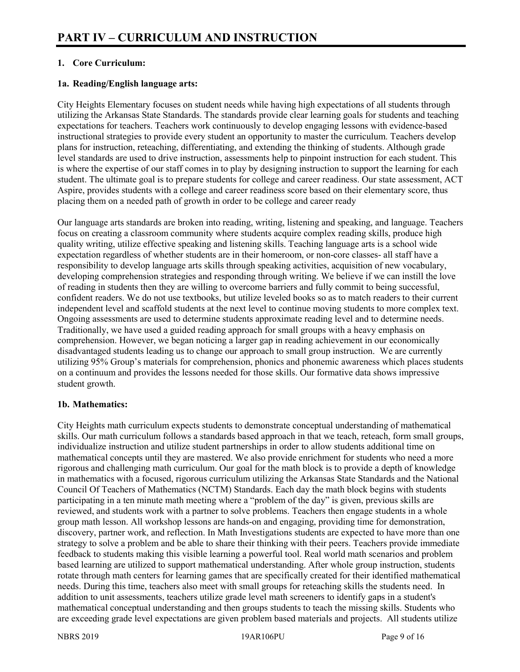# **1. Core Curriculum:**

## **1a. Reading/English language arts:**

City Heights Elementary focuses on student needs while having high expectations of all students through utilizing the Arkansas State Standards. The standards provide clear learning goals for students and teaching expectations for teachers. Teachers work continuously to develop engaging lessons with evidence-based instructional strategies to provide every student an opportunity to master the curriculum. Teachers develop plans for instruction, reteaching, differentiating, and extending the thinking of students. Although grade level standards are used to drive instruction, assessments help to pinpoint instruction for each student. This is where the expertise of our staff comes in to play by designing instruction to support the learning for each student. The ultimate goal is to prepare students for college and career readiness. Our state assessment, ACT Aspire, provides students with a college and career readiness score based on their elementary score, thus placing them on a needed path of growth in order to be college and career ready

Our language arts standards are broken into reading, writing, listening and speaking, and language. Teachers focus on creating a classroom community where students acquire complex reading skills, produce high quality writing, utilize effective speaking and listening skills. Teaching language arts is a school wide expectation regardless of whether students are in their homeroom, or non-core classes- all staff have a responsibility to develop language arts skills through speaking activities, acquisition of new vocabulary, developing comprehension strategies and responding through writing. We believe if we can instill the love of reading in students then they are willing to overcome barriers and fully commit to being successful, confident readers. We do not use textbooks, but utilize leveled books so as to match readers to their current independent level and scaffold students at the next level to continue moving students to more complex text. Ongoing assessments are used to determine students approximate reading level and to determine needs. Traditionally, we have used a guided reading approach for small groups with a heavy emphasis on comprehension. However, we began noticing a larger gap in reading achievement in our economically disadvantaged students leading us to change our approach to small group instruction. We are currently utilizing 95% Group's materials for comprehension, phonics and phonemic awareness which places students on a continuum and provides the lessons needed for those skills. Our formative data shows impressive student growth.

### **1b. Mathematics:**

City Heights math curriculum expects students to demonstrate conceptual understanding of mathematical skills. Our math curriculum follows a standards based approach in that we teach, reteach, form small groups, individualize instruction and utilize student partnerships in order to allow students additional time on mathematical concepts until they are mastered. We also provide enrichment for students who need a more rigorous and challenging math curriculum. Our goal for the math block is to provide a depth of knowledge in mathematics with a focused, rigorous curriculum utilizing the Arkansas State Standards and the National Council Of Teachers of Mathematics (NCTM) Standards. Each day the math block begins with students participating in a ten minute math meeting where a "problem of the day" is given, previous skills are reviewed, and students work with a partner to solve problems. Teachers then engage students in a whole group math lesson. All workshop lessons are hands-on and engaging, providing time for demonstration, discovery, partner work, and reflection. In Math Investigations students are expected to have more than one strategy to solve a problem and be able to share their thinking with their peers. Teachers provide immediate feedback to students making this visible learning a powerful tool. Real world math scenarios and problem based learning are utilized to support mathematical understanding. After whole group instruction, students rotate through math centers for learning games that are specifically created for their identified mathematical needs. During this time, teachers also meet with small groups for reteaching skills the students need. In addition to unit assessments, teachers utilize grade level math screeners to identify gaps in a student's mathematical conceptual understanding and then groups students to teach the missing skills. Students who are exceeding grade level expectations are given problem based materials and projects. All students utilize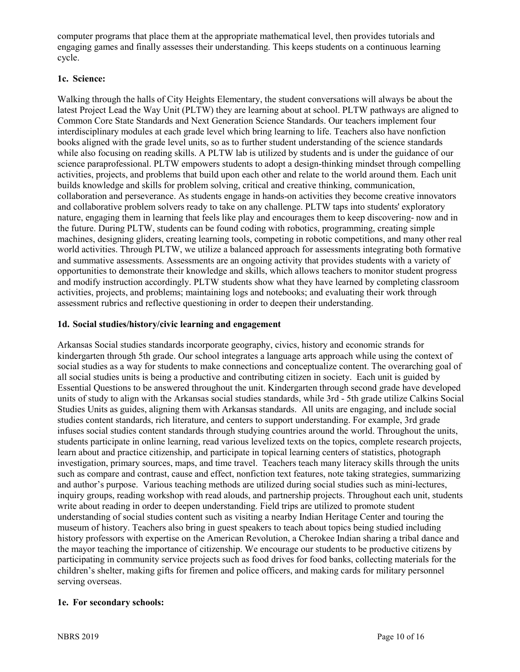computer programs that place them at the appropriate mathematical level, then provides tutorials and engaging games and finally assesses their understanding. This keeps students on a continuous learning cycle.

# **1c. Science:**

Walking through the halls of City Heights Elementary, the student conversations will always be about the latest Project Lead the Way Unit (PLTW) they are learning about at school. PLTW pathways are aligned to Common Core State Standards and Next Generation Science Standards. Our teachers implement four interdisciplinary modules at each grade level which bring learning to life. Teachers also have nonfiction books aligned with the grade level units, so as to further student understanding of the science standards while also focusing on reading skills. A PLTW lab is utilized by students and is under the guidance of our science paraprofessional. PLTW empowers students to adopt a design-thinking mindset through compelling activities, projects, and problems that build upon each other and relate to the world around them. Each unit builds knowledge and skills for problem solving, critical and creative thinking, communication, collaboration and perseverance. As students engage in hands-on activities they become creative innovators and collaborative problem solvers ready to take on any challenge. PLTW taps into students' exploratory nature, engaging them in learning that feels like play and encourages them to keep discovering- now and in the future. During PLTW, students can be found coding with robotics, programming, creating simple machines, designing gliders, creating learning tools, competing in robotic competitions, and many other real world activities. Through PLTW, we utilize a balanced approach for assessments integrating both formative and summative assessments. Assessments are an ongoing activity that provides students with a variety of opportunities to demonstrate their knowledge and skills, which allows teachers to monitor student progress and modify instruction accordingly. PLTW students show what they have learned by completing classroom activities, projects, and problems; maintaining logs and notebooks; and evaluating their work through assessment rubrics and reflective questioning in order to deepen their understanding.

# **1d. Social studies/history/civic learning and engagement**

Arkansas Social studies standards incorporate geography, civics, history and economic strands for kindergarten through 5th grade. Our school integrates a language arts approach while using the context of social studies as a way for students to make connections and conceptualize content. The overarching goal of all social studies units is being a productive and contributing citizen in society. Each unit is guided by Essential Questions to be answered throughout the unit. Kindergarten through second grade have developed units of study to align with the Arkansas social studies standards, while 3rd - 5th grade utilize Calkins Social Studies Units as guides, aligning them with Arkansas standards. All units are engaging, and include social studies content standards, rich literature, and centers to support understanding. For example, 3rd grade infuses social studies content standards through studying countries around the world. Throughout the units, students participate in online learning, read various levelized texts on the topics, complete research projects, learn about and practice citizenship, and participate in topical learning centers of statistics, photograph investigation, primary sources, maps, and time travel. Teachers teach many literacy skills through the units such as compare and contrast, cause and effect, nonfiction text features, note taking strategies, summarizing and author's purpose. Various teaching methods are utilized during social studies such as mini-lectures, inquiry groups, reading workshop with read alouds, and partnership projects. Throughout each unit, students write about reading in order to deepen understanding. Field trips are utilized to promote student understanding of social studies content such as visiting a nearby Indian Heritage Center and touring the museum of history. Teachers also bring in guest speakers to teach about topics being studied including history professors with expertise on the American Revolution, a Cherokee Indian sharing a tribal dance and the mayor teaching the importance of citizenship. We encourage our students to be productive citizens by participating in community service projects such as food drives for food banks, collecting materials for the children's shelter, making gifts for firemen and police officers, and making cards for military personnel serving overseas.

# **1e. For secondary schools:**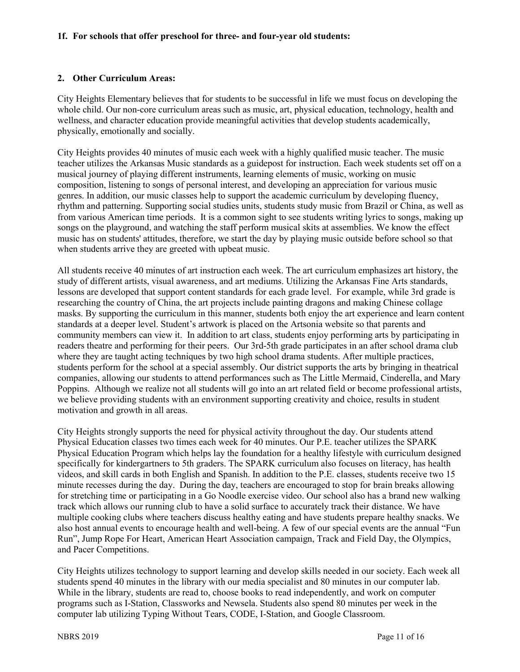#### **1f. For schools that offer preschool for three- and four-year old students:**

#### **2. Other Curriculum Areas:**

City Heights Elementary believes that for students to be successful in life we must focus on developing the whole child. Our non-core curriculum areas such as music, art, physical education, technology, health and wellness, and character education provide meaningful activities that develop students academically, physically, emotionally and socially.

City Heights provides 40 minutes of music each week with a highly qualified music teacher. The music teacher utilizes the Arkansas Music standards as a guidepost for instruction. Each week students set off on a musical journey of playing different instruments, learning elements of music, working on music composition, listening to songs of personal interest, and developing an appreciation for various music genres. In addition, our music classes help to support the academic curriculum by developing fluency, rhythm and patterning. Supporting social studies units, students study music from Brazil or China, as well as from various American time periods. It is a common sight to see students writing lyrics to songs, making up songs on the playground, and watching the staff perform musical skits at assemblies. We know the effect music has on students' attitudes, therefore, we start the day by playing music outside before school so that when students arrive they are greeted with upbeat music.

All students receive 40 minutes of art instruction each week. The art curriculum emphasizes art history, the study of different artists, visual awareness, and art mediums. Utilizing the Arkansas Fine Arts standards, lessons are developed that support content standards for each grade level. For example, while 3rd grade is researching the country of China, the art projects include painting dragons and making Chinese collage masks. By supporting the curriculum in this manner, students both enjoy the art experience and learn content standards at a deeper level. Student's artwork is placed on the Artsonia website so that parents and community members can view it. In addition to art class, students enjoy performing arts by participating in readers theatre and performing for their peers. Our 3rd-5th grade participates in an after school drama club where they are taught acting techniques by two high school drama students. After multiple practices, students perform for the school at a special assembly. Our district supports the arts by bringing in theatrical companies, allowing our students to attend performances such as The Little Mermaid, Cinderella, and Mary Poppins. Although we realize not all students will go into an art related field or become professional artists, we believe providing students with an environment supporting creativity and choice, results in student motivation and growth in all areas.

City Heights strongly supports the need for physical activity throughout the day. Our students attend Physical Education classes two times each week for 40 minutes. Our P.E. teacher utilizes the SPARK Physical Education Program which helps lay the foundation for a healthy lifestyle with curriculum designed specifically for kindergartners to 5th graders. The SPARK curriculum also focuses on literacy, has health videos, and skill cards in both English and Spanish. In addition to the P.E. classes, students receive two 15 minute recesses during the day. During the day, teachers are encouraged to stop for brain breaks allowing for stretching time or participating in a Go Noodle exercise video. Our school also has a brand new walking track which allows our running club to have a solid surface to accurately track their distance. We have multiple cooking clubs where teachers discuss healthy eating and have students prepare healthy snacks. We also host annual events to encourage health and well-being. A few of our special events are the annual "Fun Run", Jump Rope For Heart, American Heart Association campaign, Track and Field Day, the Olympics, and Pacer Competitions.

City Heights utilizes technology to support learning and develop skills needed in our society. Each week all students spend 40 minutes in the library with our media specialist and 80 minutes in our computer lab. While in the library, students are read to, choose books to read independently, and work on computer programs such as I-Station, Classworks and Newsela. Students also spend 80 minutes per week in the computer lab utilizing Typing Without Tears, CODE, I-Station, and Google Classroom.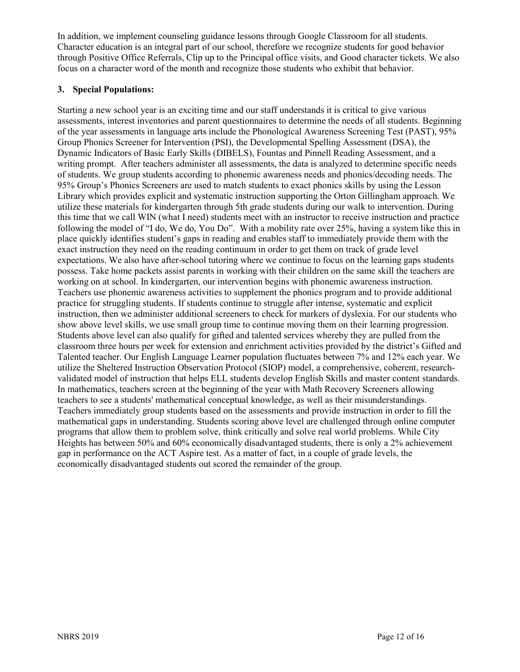In addition, we implement counseling guidance lessons through Google Classroom for all students. Character education is an integral part of our school, therefore we recognize students for good behavior through Positive Office Referrals, Clip up to the Principal office visits, and Good character tickets. We also focus on a character word of the month and recognize those students who exhibit that behavior.

# **3. Special Populations:**

Starting a new school year is an exciting time and our staff understands it is critical to give various assessments, interest inventories and parent questionnaires to determine the needs of all students. Beginning of the year assessments in language arts include the Phonological Awareness Screening Test (PAST), 95% Group Phonics Screener for Intervention (PSI), the Developmental Spelling Assessment (DSA), the Dynamic Indicators of Basic Early Skills (DIBELS), Fountas and Pinnell Reading Assessment, and a writing prompt. After teachers administer all assessments, the data is analyzed to determine specific needs of students. We group students according to phonemic awareness needs and phonics/decoding needs. The 95% Group's Phonics Screeners are used to match students to exact phonics skills by using the Lesson Library which provides explicit and systematic instruction supporting the Orton Gillingham approach. We utilize these materials for kindergarten through 5th grade students during our walk to intervention. During this time that we call WIN (what I need) students meet with an instructor to receive instruction and practice following the model of "I do, We do, You Do". With a mobility rate over 25%, having a system like this in place quickly identifies student's gaps in reading and enables staff to immediately provide them with the exact instruction they need on the reading continuum in order to get them on track of grade level expectations. We also have after-school tutoring where we continue to focus on the learning gaps students possess. Take home packets assist parents in working with their children on the same skill the teachers are working on at school. In kindergarten, our intervention begins with phonemic awareness instruction. Teachers use phonemic awareness activities to supplement the phonics program and to provide additional practice for struggling students. If students continue to struggle after intense, systematic and explicit instruction, then we administer additional screeners to check for markers of dyslexia. For our students who show above level skills, we use small group time to continue moving them on their learning progression. Students above level can also qualify for gifted and talented services whereby they are pulled from the classroom three hours per week for extension and enrichment activities provided by the district's Gifted and Talented teacher. Our English Language Learner population fluctuates between 7% and 12% each year. We utilize the Sheltered Instruction Observation Protocol (SIOP) model, a comprehensive, coherent, researchvalidated model of instruction that helps ELL students develop English Skills and master content standards. In mathematics, teachers screen at the beginning of the year with Math Recovery Screeners allowing teachers to see a students' mathematical conceptual knowledge, as well as their misunderstandings. Teachers immediately group students based on the assessments and provide instruction in order to fill the mathematical gaps in understanding. Students scoring above level are challenged through online computer programs that allow them to problem solve, think critically and solve real world problems. While City Heights has between 50% and 60% economically disadvantaged students, there is only a 2% achievement gap in performance on the ACT Aspire test. As a matter of fact, in a couple of grade levels, the economically disadvantaged students out scored the remainder of the group.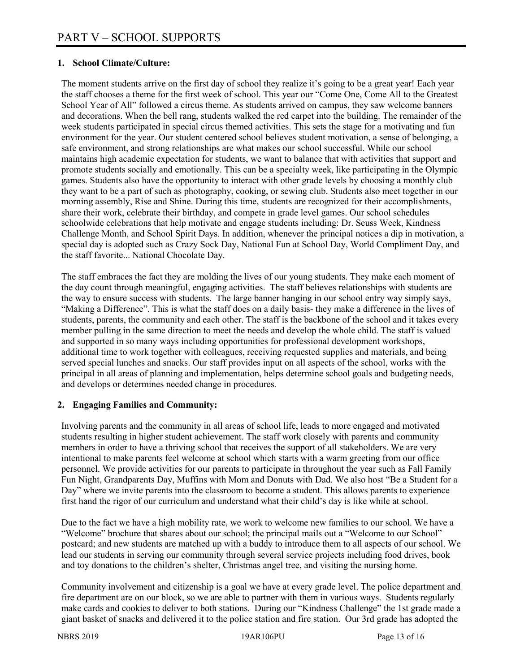# **1. School Climate/Culture:**

The moment students arrive on the first day of school they realize it's going to be a great year! Each year the staff chooses a theme for the first week of school. This year our "Come One, Come All to the Greatest School Year of All" followed a circus theme. As students arrived on campus, they saw welcome banners and decorations. When the bell rang, students walked the red carpet into the building. The remainder of the week students participated in special circus themed activities. This sets the stage for a motivating and fun environment for the year. Our student centered school believes student motivation, a sense of belonging, a safe environment, and strong relationships are what makes our school successful. While our school maintains high academic expectation for students, we want to balance that with activities that support and promote students socially and emotionally. This can be a specialty week, like participating in the Olympic games. Students also have the opportunity to interact with other grade levels by choosing a monthly club they want to be a part of such as photography, cooking, or sewing club. Students also meet together in our morning assembly, Rise and Shine. During this time, students are recognized for their accomplishments, share their work, celebrate their birthday, and compete in grade level games. Our school schedules schoolwide celebrations that help motivate and engage students including: Dr. Seuss Week, Kindness Challenge Month, and School Spirit Days. In addition, whenever the principal notices a dip in motivation, a special day is adopted such as Crazy Sock Day, National Fun at School Day, World Compliment Day, and the staff favorite... National Chocolate Day.

The staff embraces the fact they are molding the lives of our young students. They make each moment of the day count through meaningful, engaging activities. The staff believes relationships with students are the way to ensure success with students. The large banner hanging in our school entry way simply says, "Making a Difference". This is what the staff does on a daily basis- they make a difference in the lives of students, parents, the community and each other. The staff is the backbone of the school and it takes every member pulling in the same direction to meet the needs and develop the whole child. The staff is valued and supported in so many ways including opportunities for professional development workshops, additional time to work together with colleagues, receiving requested supplies and materials, and being served special lunches and snacks. Our staff provides input on all aspects of the school, works with the principal in all areas of planning and implementation, helps determine school goals and budgeting needs, and develops or determines needed change in procedures.

### **2. Engaging Families and Community:**

Involving parents and the community in all areas of school life, leads to more engaged and motivated students resulting in higher student achievement. The staff work closely with parents and community members in order to have a thriving school that receives the support of all stakeholders. We are very intentional to make parents feel welcome at school which starts with a warm greeting from our office personnel. We provide activities for our parents to participate in throughout the year such as Fall Family Fun Night, Grandparents Day, Muffins with Mom and Donuts with Dad. We also host "Be a Student for a Day" where we invite parents into the classroom to become a student. This allows parents to experience first hand the rigor of our curriculum and understand what their child's day is like while at school.

Due to the fact we have a high mobility rate, we work to welcome new families to our school. We have a "Welcome" brochure that shares about our school; the principal mails out a "Welcome to our School" postcard; and new students are matched up with a buddy to introduce them to all aspects of our school. We lead our students in serving our community through several service projects including food drives, book and toy donations to the children's shelter, Christmas angel tree, and visiting the nursing home.

Community involvement and citizenship is a goal we have at every grade level. The police department and fire department are on our block, so we are able to partner with them in various ways. Students regularly make cards and cookies to deliver to both stations. During our "Kindness Challenge" the 1st grade made a giant basket of snacks and delivered it to the police station and fire station. Our 3rd grade has adopted the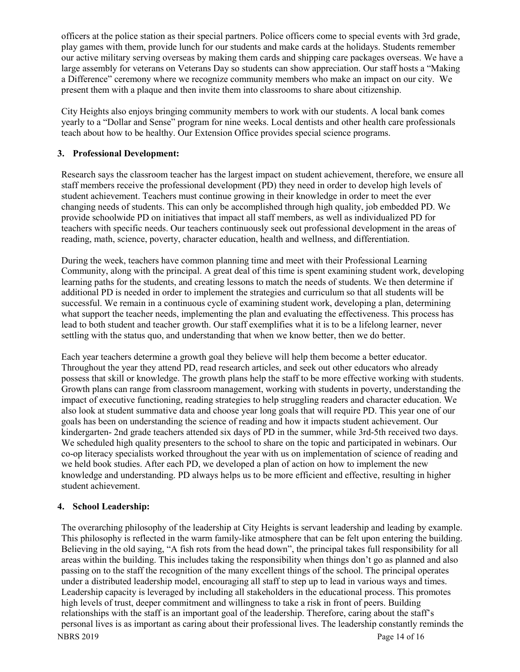officers at the police station as their special partners. Police officers come to special events with 3rd grade, play games with them, provide lunch for our students and make cards at the holidays. Students remember our active military serving overseas by making them cards and shipping care packages overseas. We have a large assembly for veterans on Veterans Day so students can show appreciation. Our staff hosts a "Making a Difference" ceremony where we recognize community members who make an impact on our city. We present them with a plaque and then invite them into classrooms to share about citizenship.

City Heights also enjoys bringing community members to work with our students. A local bank comes yearly to a "Dollar and Sense" program for nine weeks. Local dentists and other health care professionals teach about how to be healthy. Our Extension Office provides special science programs.

# **3. Professional Development:**

Research says the classroom teacher has the largest impact on student achievement, therefore, we ensure all staff members receive the professional development (PD) they need in order to develop high levels of student achievement. Teachers must continue growing in their knowledge in order to meet the ever changing needs of students. This can only be accomplished through high quality, job embedded PD. We provide schoolwide PD on initiatives that impact all staff members, as well as individualized PD for teachers with specific needs. Our teachers continuously seek out professional development in the areas of reading, math, science, poverty, character education, health and wellness, and differentiation.

During the week, teachers have common planning time and meet with their Professional Learning Community, along with the principal. A great deal of this time is spent examining student work, developing learning paths for the students, and creating lessons to match the needs of students. We then determine if additional PD is needed in order to implement the strategies and curriculum so that all students will be successful. We remain in a continuous cycle of examining student work, developing a plan, determining what support the teacher needs, implementing the plan and evaluating the effectiveness. This process has lead to both student and teacher growth. Our staff exemplifies what it is to be a lifelong learner, never settling with the status quo, and understanding that when we know better, then we do better.

Each year teachers determine a growth goal they believe will help them become a better educator. Throughout the year they attend PD, read research articles, and seek out other educators who already possess that skill or knowledge. The growth plans help the staff to be more effective working with students. Growth plans can range from classroom management, working with students in poverty, understanding the impact of executive functioning, reading strategies to help struggling readers and character education. We also look at student summative data and choose year long goals that will require PD. This year one of our goals has been on understanding the science of reading and how it impacts student achievement. Our kindergarten- 2nd grade teachers attended six days of PD in the summer, while 3rd-5th received two days. We scheduled high quality presenters to the school to share on the topic and participated in webinars. Our co-op literacy specialists worked throughout the year with us on implementation of science of reading and we held book studies. After each PD, we developed a plan of action on how to implement the new knowledge and understanding. PD always helps us to be more efficient and effective, resulting in higher student achievement.

### **4. School Leadership:**

NBRS 2019 Page 14 of 16 The overarching philosophy of the leadership at City Heights is servant leadership and leading by example. This philosophy is reflected in the warm family-like atmosphere that can be felt upon entering the building. Believing in the old saying, "A fish rots from the head down", the principal takes full responsibility for all areas within the building. This includes taking the responsibility when things don't go as planned and also passing on to the staff the recognition of the many excellent things of the school. The principal operates under a distributed leadership model, encouraging all staff to step up to lead in various ways and times. Leadership capacity is leveraged by including all stakeholders in the educational process. This promotes high levels of trust, deeper commitment and willingness to take a risk in front of peers. Building relationships with the staff is an important goal of the leadership. Therefore, caring about the staff's personal lives is as important as caring about their professional lives. The leadership constantly reminds the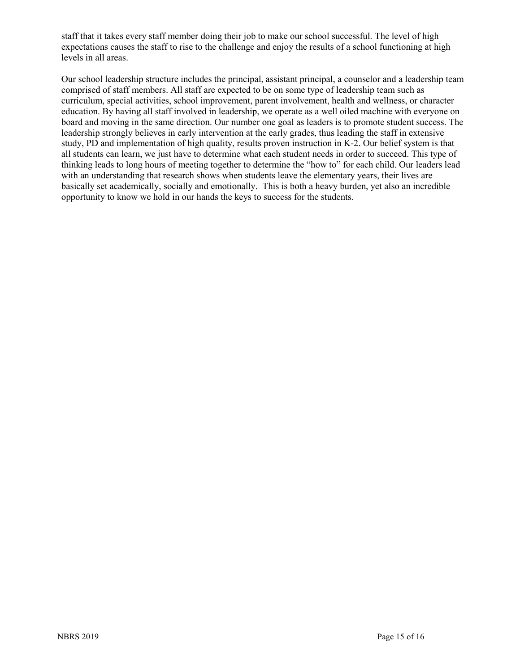staff that it takes every staff member doing their job to make our school successful. The level of high expectations causes the staff to rise to the challenge and enjoy the results of a school functioning at high levels in all areas.

Our school leadership structure includes the principal, assistant principal, a counselor and a leadership team comprised of staff members. All staff are expected to be on some type of leadership team such as curriculum, special activities, school improvement, parent involvement, health and wellness, or character education. By having all staff involved in leadership, we operate as a well oiled machine with everyone on board and moving in the same direction. Our number one goal as leaders is to promote student success. The leadership strongly believes in early intervention at the early grades, thus leading the staff in extensive study, PD and implementation of high quality, results proven instruction in K-2. Our belief system is that all students can learn, we just have to determine what each student needs in order to succeed. This type of thinking leads to long hours of meeting together to determine the "how to" for each child. Our leaders lead with an understanding that research shows when students leave the elementary years, their lives are basically set academically, socially and emotionally. This is both a heavy burden, yet also an incredible opportunity to know we hold in our hands the keys to success for the students.